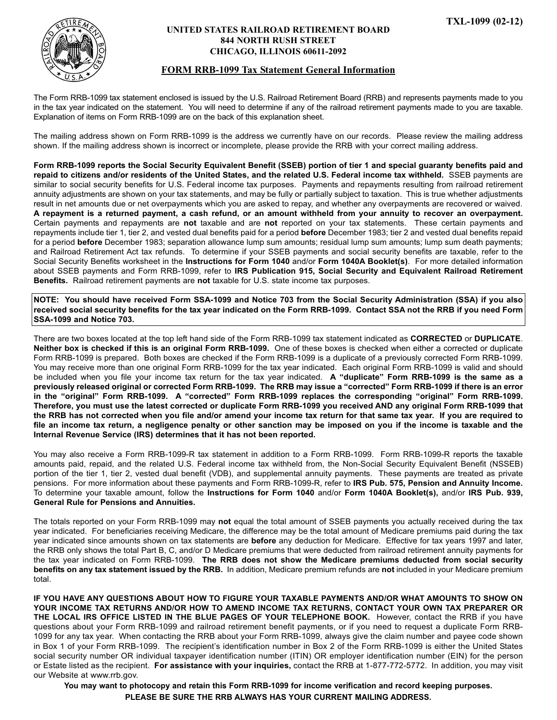

## **UNITED STATES RAILROAD RETIREMENT BOARD 844 NORTH RUSH STREET CHICAGO, ILLINOIS 60611-2092**

## **FORM RRB-1099 Tax Statement General Information**

The Form RRB-1099 tax statement enclosed is issued by the U.S. Railroad Retirement Board (RRB) and represents payments made to you in the tax year indicated on the statement. You will need to determine if any of the railroad retirement payments made to you are taxable. Explanation of items on Form RRB-1099 are on the back of this explanation sheet.

The mailing address shown on Form RRB-1099 is the address we currently have on our records. Please review the mailing address shown. If the mailing address shown is incorrect or incomplete, please provide the RRB with your correct mailing address.

**Form RRB-1099 reports the Social Security Equivalent Benefit (SSEB) portion of tier 1 and special guaranty benefits paid and repaid to citizens and/or residents of the United States, and the related U.S. Federal income tax withheld.** SSEB payments are similar to social security benefits for U.S. Federal income tax purposes. Payments and repayments resulting from railroad retirement annuity adjustments are shown on your tax statements, and may be fully or partially subject to taxation. This is true whether adjustments result in net amounts due or net overpayments which you are asked to repay, and whether any overpayments are recovered or waived. **A repayment is a returned payment, a cash refund, or an amount withheld from your annuity to recover an overpayment.** Certain payments and repayments are **not** taxable and are **not** reported on your tax statements. These certain payments and repayments include tier 1, tier 2, and vested dual benefits paid for a period **before** December 1983; tier 2 and vested dual benefits repaid for a period **before** December 1983; separation allowance lump sum amounts; residual lump sum amounts; lump sum death payments; and Railroad Retirement Act tax refunds. To determine if your SSEB payments and social security benefits are taxable, refer to the Social Security Benefits worksheet in the **Instructions for Form 1040** and/or **Form 1040A Booklet(s)**. For more detailed information about SSEB payments and Form RRB-1099, refer to **IRS Publication 915, Social Security and Equivalent Railroad Retirement Benefits.** Railroad retirement payments are **not** taxable for U.S. state income tax purposes.

**NOTE: You should have received Form SSA-1099 and Notice 703 from the Social Security Administration (SSA) if you also received social security benefits for the tax year indicated on the Form RRB-1099. Contact SSA not the RRB if you need Form SSA-1099 and Notice 703.**

There are two boxes located at the top left hand side of the Form RRB-1099 tax statement indicated as **CORRECTED** or **DUPLICATE**. **Neither box is checked if this is an original Form RRB-1099.** One of these boxes is checked when either a corrected or duplicate Form RRB-1099 is prepared. Both boxes are checked if the Form RRB-1099 is a duplicate of a previously corrected Form RRB-1099. You may receive more than one original Form RRB-1099 for the tax year indicated. Each original Form RRB-1099 is valid and should be included when you file your income tax return for the tax year indicated. **A "duplicate" Form RRB-1099 is the same as a previously released original or corrected Form RRB-1099. The RRB may issue a "corrected" Form RRB-1099 if there is an error in the "original" Form RRB-1099. A "corrected" Form RRB-1099 replaces the corresponding "original" Form RRB-1099. Therefore, you must use the latest corrected or duplicate Form RRB-1099 you received AND any original Form RRB-1099 that the RRB has not corrected when you file and/or amend your income tax return for that same tax year. If you are required to file an income tax return, a negligence penalty or other sanction may be imposed on you if the income is taxable and the Internal Revenue Service (IRS) determines that it has not been reported.**

You may also receive a Form RRB-1099-R tax statement in addition to a Form RRB-1099. Form RRB-1099-R reports the taxable amounts paid, repaid, and the related U.S. Federal income tax withheld from, the Non-Social Security Equivalent Benefit (NSSEB) portion of the tier 1, tier 2, vested dual benefit (VDB), and supplemental annuity payments. These payments are treated as private pensions. For more information about these payments and Form RRB-1099-R, refer to **IRS Pub. 575, Pension and Annuity Income.** To determine your taxable amount, follow the **Instructions for Form 1040** and/or **Form 1040A Booklet(s),** and/or **IRS Pub. 939, General Rule for Pensions and Annuities.**

The totals reported on your Form RRB-1099 may **not** equal the total amount of SSEB payments you actually received during the tax year indicated. For beneficiaries receiving Medicare, the difference may be the total amount of Medicare premiums paid during the tax year indicated since amounts shown on tax statements are **before** any deduction for Medicare. Effective for tax years 1997 and later, the RRB only shows the total Part B, C, and/or D Medicare premiums that were deducted from railroad retirement annuity payments for the tax year indicated on Form RRB-1099. **The RRB does not show the Medicare premiums deducted from social security benefits on any tax statement issued by the RRB.** In addition, Medicare premium refunds are **not** included in your Medicare premium total.

**IF YOU HAVE ANY QUESTIONS ABOUT HOW TO FIGURE YOUR TAXABLE PAYMENTS AND/OR WHAT AMOUNTS TO SHOW ON YOUR INCOME TAX RETURNS AND/OR HOW TO AMEND INCOME TAX RETURNS, CONTACT YOUR OWN TAX PREPARER OR THE LOCAL IRS OFFICE LISTED IN THE BLUE PAGES OF YOUR TELEPHONE BOOK.** However, contact the RRB if you have questions about your Form RRB-1099 and railroad retirement benefit payments, or if you need to request a duplicate Form RRB-1099 for any tax year. When contacting the RRB about your Form RRB-1099, always give the claim number and payee code shown in Box 1 of your Form RRB-1099. The recipient's identification number in Box 2 of the Form RRB-1099 is either the United States social security number OR individual taxpayer identification number (ITIN) OR employer identification number (EIN) for the person or Estate listed as the recipient. **For assistance with your inquiries,** contact the RRB at 1-877-772-5772. In addition, you may visit our Website at www.rrb.gov.

**You may want to photocopy and retain this Form RRB-1099 for income verification and record keeping purposes. PLEASE BE SURE THE RRB ALWAYS HAS YOUR CURRENT MAILING ADDRESS.**